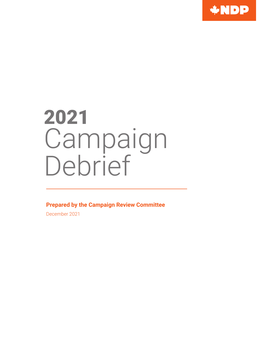

# 2021 Campaign Debrief

**Prepared by the Campaign Review Committee**

December 2021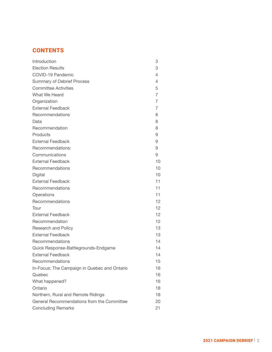# **CONTENTS**

| Introduction                                 | 3  |
|----------------------------------------------|----|
| <b>Election Results</b>                      | 3  |
| COVID-19 Pandemic                            | 4  |
| <b>Summary of Debrief Process</b>            | 4  |
| <b>Committee Activities</b>                  | 5  |
| What We Heard                                | 7  |
| Organization                                 | 7  |
| <b>External Feedback</b>                     | 7  |
| Recommendations                              | 8  |
| Data                                         | 8  |
| Recommendation                               | 8  |
| Products                                     | 9  |
| <b>External Feedback</b>                     | 9  |
| Recommendations:                             | 9  |
| Communications                               | 9  |
| <b>External Feedback</b>                     | 10 |
| Recommendations                              | 10 |
| Digital                                      | 10 |
| <b>External Feedback</b>                     | 11 |
| Recommendations                              | 11 |
| Operations                                   | 11 |
| Recommendations                              | 12 |
| Tour                                         | 12 |
| <b>External Feedback</b>                     | 12 |
| Recommendation                               | 12 |
| Research and Policy                          | 13 |
| <b>External Feedback</b>                     | 13 |
| Recommendations                              | 14 |
| Quick Response-Battlegrounds-Endgame         | 14 |
| <b>External Feedback</b>                     | 14 |
| Recommendations                              | 15 |
| In-Focus: The Campaign in Quebec and Ontario | 16 |
| Quebec                                       | 16 |
| What happened?                               | 16 |
| Ontario                                      | 18 |
| Northern, Rural and Remote Ridings           | 18 |
| General Recommendations from the Committee   | 20 |
| <b>Concluding Remarks</b>                    | 21 |
|                                              |    |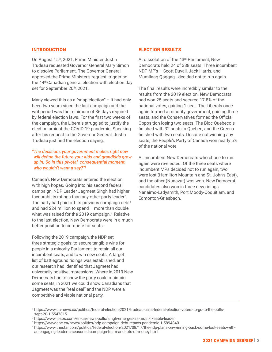# INTRODUCTION

On August 15th, 2021, Prime Minister Justin Trudeau requested Governor General Mary Simon to dissolve Parliament. The Governor General approved the Prime Minister's request, triggering the 44th Canadian general election with election day set for September 20th, 2021.

Many viewed this as a "snap election" – it had only been two years since the last campaign and the writ period was the minimum of 36 days required by federal election laws. For the first two weeks of the campaign, the Liberals struggled to justify the election amidst the COVID-19 pandemic. Speaking after his request to the Governor General, Justin Trudeau justified the election saying,

*"The decisions your government makes right now will define the future your kids and grandkids grow up in. So in this pivotal, consequential moment, who wouldn't want a say?"1*

Canada's New Democrats entered the election with high hopes. Going into his second federal campaign, NDP Leader Jagmeet Singh had higher favourability ratings than any other party leader<sup>2</sup>. The party had paid off its previous campaign debt $3$ and had \$24 million to spend – more than double what was raised for the 2019 campaign.<sup>4</sup> Relative to the last election, New Democrats were in a much better position to compete for seats.

Following the 2019 campaign, the NDP set three strategic goals: to secure tangible wins for people in a minority Parliament, to retain all our incumbent seats, and to win new seats. A target list of battleground ridings was established, and our research had identified that Jagmeet had universally positive impressions. Where in 2019 New Democrats had to show the party could maintain some seats, in 2021 we could show Canadians that Jagmeet was the "real deal" and the NDP were a competitive and viable national party.

# ELECTION RESULTS

At dissolution of the 43<sup>rd</sup> Parliament, New Democrats held 24 of 338 seats. Three incumbent NDP MP's – Scott Duvall, Jack Harris, and Mumilaaq Qaqqaq - decided not to run again.

The final results were incredibly similar to the results from the 2019 election. New Democrats had won 25 seats and secured 17.8% of the national votes, gaining 1 seat. The Liberals once again formed a minority government, gaining three seats, and the Conservatives formed the Official Opposition losing two seats. The Bloc Quebecois finished with 32 seats in Quebec, and the Greens finished with two seats. Despite not winning any seats, the People's Party of Canada won nearly 5% of the national vote.

All incumbent New Democrats who chose to run again were re-elected. Of the three seats where incumbent MPs decided not to run again, two were lost (Hamilton Mountain and St. John's East), and the other (Nunavut) was won. New Democrat candidates also won in three new ridings: Nanaimo-Ladysmith, Port Moody-Coquitlam, and Edmonton-Griesbach.

<sup>1</sup> https://www.ctvnews.ca/politics/federal-election-2021/trudeau-calls-federal-election-voters-to-go-to-the-pollssept-20-1.5547815

<sup>2</sup> https://www.ipsos.com/en-ca/news-polls/singh-emerges-as-most-likeable-leader

<sup>3</sup> https://www.cbc.ca/news/politics/ndp-campaign-debt-repays-pandemic-1.5894840

<sup>4</sup> https://www.thestar.com/politics/federal-election/2021/08/17/the-ndp-plans-on-winning-back-some-lost-seats-withan-engaging-leader-a-seasoned-campaign-team-and-lots-of-money.html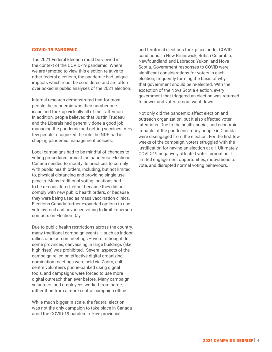# COVID-19 PANDEMIC

The 2021 Federal Election must be viewed in the context of the COVID-19 pandemic. Where we are tempted to view this election relative to other federal elections, the pandemic had unique impacts which must be considered and are often overlooked in public analyses of the 2021 election.

Internal research demonstrated that for most people the pandemic was their number one issue and took up virtually all of their attention. In addition, people believed that Justin Trudeau and the Liberals had generally done a good job managing the pandemic and getting vaccines. Very few people recognized the role the NDP had in shaping pandemic management policies.

Local campaigns had to be mindful of changes to voting procedures amidst the pandemic. Elections Canada needed to modify its practices to comply with public health orders, including, but not limited to, physical distancing and providing single-use pencils. Many traditional voting locations had to be re-considered, either because they did not comply with new public health orders, or because they were being used as mass vaccination clinics. Elections Canada further expanded options to use vote-by-mail and advanced voting to limit in-person contacts on Election Day.

Due to public health restrictions across the country, many traditional campaign events – such as indoor rallies or in-person meetings – were rethought. In some provinces, canvassing in large buildings (like high rises) was prohibited. Several aspects of the campaign relied on effective digital organizing: nomination meetings were held via Zoom, callcentre volunteers phone-banked using digital tools, and campaigns were forced to use more digital outreach than ever before. Many campaign volunteers and employees worked from home, rather than from a more central campaign office.

While much bigger in scale, the federal election was not the only campaign to take place in Canada amid the COVID-19 pandemic. Five provincial

and territorial elections took place under COVID conditions: in New Brunswick, British Columbia, Newfoundland and Labrador, Yukon, and Nova Scotia. Government responses to COVID were significant considerations for voters in each election, frequently forming the basis of why that government should be re-elected. With the exception of the Nova Scotia election, every government that triggered an election was returned to power and voter turnout went down.

Not only did the pandemic affect election and outreach organization, but it also affected voter intentions. Due to the health, social, and economic impacts of the pandemic, many people in Canada were disengaged from the election. For the first few weeks of the campaign, voters struggled with the justification for having an election at all. Ultimately, COVID-19 negatively affected voter turnout as it limited engagement opportunities, motivations to vote, and disrupted normal voting behaviours.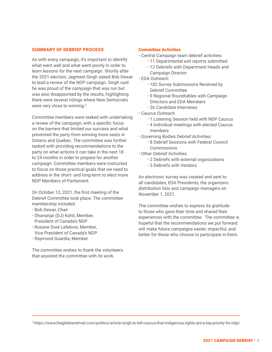## SUMMARY OF DEBRIEF PROCESS

As with every campaign, it's important to identify what went well and what went poorly in order to learn lessons for the next campaign. Shortly after the 2021 election, Jagmeet Singh asked Bob Dewar to lead a review of the NDP campaign. Singh said he was proud of the campaign that was run but was also disappointed by the results, highlighting there were several ridings where New Democrats were very close to winning.<sup>5</sup>

Committee members were tasked with undertaking a review of the campaign, with a specific focus on the barriers that limited our success and what prevented the party from winning more seats in Ontario and Quebec. The committee was further tasked with providing recommendations to the party on what actions it can take in the next 18 to 24 months in order to prepare for another campaign. Committee members were instructed to focus on those practical goals that we need to address in the short- and long-term to elect more NDP Members of Parliament.

On October 12, 2021, the first meeting of the Debrief Committee took place. The committee membership included:

- Bob Dewar, Chair
- Dhananjai (DJ) Kohli, Member, President of Canada's NDP
- Rosane Doré Lefebvre, Member, Vice President of Canada's NDP
- Raymond Guardia, Member

The committee wishes to thank the volunteers that assisted the committee with its work.

#### Committee Activities

- Central Campaign team debrief activities:
	- 11 Departmental exit reports submitted
	- 12 Debriefs with Department Heads and Campaign Director
- EDA Outreach
	- 182 Survey Submissions Received by Debrief Committee
	- 9 Regional Roundtables with Campaign Directors and EDA Members
	- 26 Candidate Interviews
- Caucus Outreach
	- 1 Listening Session held with NDP Caucus
	- 4 Individual meetings with elected Caucus members
- Governing Bodies Debrief Activities:
	- 8 Debrief Sessions with Federal Council **Commissions**
- Other Debrief Activities:
	- 2 Debriefs with external organizations
	- 3 Debriefs with Vendors

An electronic survey was created and sent to all candidates, EDA Presidents, the organizers distribution lists and campaign managers on November 1, 2021.

The committee wishes to express its gratitude to those who gave their time and shared their experiences with the committee. The committee is hopeful that the recommendations we put forward will make future campaigns easier, impactful, and better for those who choose to participate in them.

<sup>5</sup> https://www.theglobeandmail.com/politics/article-singh-to-tell-caucus-that-indigenous-rights-are-a-top-priority-for-ndp/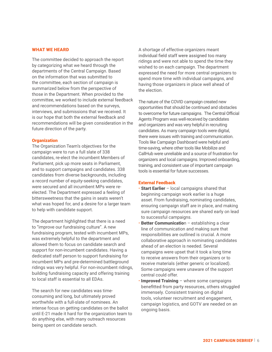#### WHAT WE HEARD

The committee decided to approach the report by categorizing what we heard through the departments of the Central Campaign. Based on the information that was submitted to the committee, each section of campaign is summarized below from the perspective of those in the Department. When provided to the committee, we worked to include external feedback and recommendations based on the surveys, interviews, and submissions that we received. It is our hope that both the external feedback and recommendations will be given consideration in the future direction of the party.

#### **Organization**

The Organization Team's objectives for the campaign were to run a full slate of 338 candidates, re-elect the incumbent Members of Parliament, pick up more seats in Parliament, and to support campaigns and candidates. 338 candidates from diverse backgrounds, including a record number of equity-seeking candidates, were secured and all incumbent MPs were reelected. The Department expressed a feeling of bittersweetness that the gains in seats weren't what was hoped for, and a desire for a larger team to help with candidate support.

The department highlighted that there is a need to "improve our fundraising culture". A new fundraising program, tested with incumbent MPs, was extremely helpful to the department and allowed them to focus on candidate search and support for non-incumbent candidates. Having a dedicated staff person to support fundraising for incumbent MPs and pre-determined battleground ridings was very helpful. For non-incumbent ridings, building fundraising capacity and offering training to local staff is essential to all EDAs.

The search for new candidates was timeconsuming and long, but ultimately proved worthwhile with a full-slate of nominees. An intense focus on getting candidates on the ballot until E-21 made it hard for the organization team to do anything else, with many outreach resources being spent on candidate serach.

A shortage of effective organizers meant individual field staff were assigned too many ridings and were not able to spend the time they wished to on each campaign. The department expressed the need for more central organizers to spend more time with individual campaigns, and having those organizers in place well ahead of the election.

The nature of the COVID campaign created new opportunities that should be continued and obstacles to overcome for future campaigns. The Central Official Agents Program was well-received by candidates and organizers and was very helpful in recruiting candidates. As many campaign tools were digital, there were issues with training and communication. Tools like Campaign Dashboard were helpful and time-saving, where other tools like Mobilize and CallHub were unreliable and a source of frustration for organizers and local campaigns. Improved onboarding, training, and consistent use of important campaign tools is essential for future successes.

#### External Feedback

- Start Earlier local campaigns shared that beginning campaign work earlier is a huge asset. From fundraising, nominating candidates, ensuring campaign staff are in place, and making sure campaign resources are shared early on lead to successful campaigns.
- **Better Communication establishing a clear** line of communication and making sure that responsibilities are outlined is crucial. A more collaborative approach in nominating candidates ahead of an election is needed. Several campaigns were upset that it took a long time to receive answers from their organizers or to receive materials (either generic or localized). Some campaigns were unaware of the support central could offer.
- **Improved Training** where some campaigns benefitted from party resources, others struggled immensely. Consistent training on digital tools, volunteer recruitment and engagement, campaign logistics, and GOTV are needed on an ongoing basis.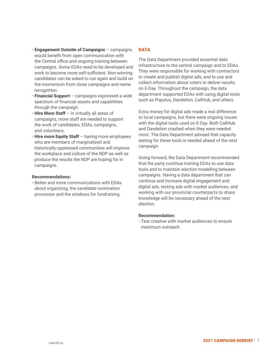- Engagement Outside of Campaigns campaigns would benefit from open communication with the Central office and ongoing training between campaigns. Some EDAs need to be developed and work to become more self-sufficient. Non-winning candidates can be asked to run again and build on the momentum from close campaigns and name recognition.
- Financial Support campaigns expressed a wide spectrum of financial assets and capabilities through the campaign.
- Hire More Staff in virtually all areas of campaigns, more staff are needed to support the work of candidates, EDAs, campaigns, and volunteers.
- Hire more Equity Staff having more employees who are members of marginalized and historically-oppressed communities will improve the workplace and culture of the NDP as well as produce the results the NDP are hoping for in campaigns.

#### Recommendations:

• Better and more communications with EDAs about organizing, the candidate nomination processes and the windows for fundraising.

# **DATA**

The Data Department provided essential data infrastructure to the central campaign and to EDAs. They were responsible for working with contractors to create and publish digital ads, and to use and collect information about voters to deliver results on E-Day. Throughout the campaign, the data department supported EDAs with using digital tools such as Populus, Dandelion, CallHub, and others.

Extra money for digital ads made a real difference to local campaigns, but there were ongoing issues with the digital tools used on E-Day. Both CallHub and Dandelion crashed when they were needed most. The Data Department advised that capacity testing for these tools is needed ahead of the next campaign.

Going forward, the Data Department recommended that the party continue training EDAs to use data tools and to maintain election modelling between campaigns. Having a data department that can continue and increase digital engagement and digital ads, testing ads with market audiences, and working with our provincial counterparts to share knowledge will be necessary ahead of the next election.

# Recommendation:

• Test creative with market audiences to ensure maximum outreach.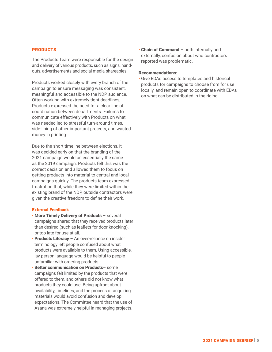# PRODUCTS

The Products Team were responsible for the design and delivery of various products, such as signs, handouts, advertisements and social media-shareables.

Products worked closely with every branch of the campaign to ensure messaging was consistent, meaningful and accessible to the NDP audience. Often working with extremely tight deadlines, Products expressed the need for a clear line of coordination between departments. Failures to communicate effectively with Products on what was needed led to stressful turn-around times, side-lining of other important projects, and wasted money in printing.

Due to the short timeline between elections, it was decided early on that the branding of the 2021 campaign would be essentially the same as the 2019 campaign. Products felt this was the correct decision and allowed them to focus on getting products into material to central and local campaigns quickly. The products team expressed frustration that, while they were limited within the existing brand of the NDP, outside contractors were given the creative freedom to define their work.

## External Feedback

- More Timely Delivery of Products several campaigns shared that they received products later than desired (such as leaflets for door knocking), or too late for use at all.
- Products Literacy An over-reliance on insider terminology left people confused about what products were available to them. Using accessible, lay-person language would be helpful to people unfamiliar with ordering products.
- Better communication on Products– some campaigns felt limited by the products that were offered to them, and others did not know what products they could use. Being upfront about availability, timelines, and the process of acquiring materials would avoid confusion and develop expectations. The Committee heard that the use of Asana was extremely helpful in managing projects.

• Chain of Command – both internally and externally, confusion about who contractors reported was problematic.

#### Recommendations:

• Give EDAs access to templates and historical products for campaigns to choose from for use locally, and remain open to coordinate with EDAs on what can be distributed in the riding.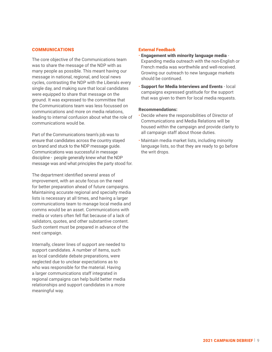## COMMUNICATIONS

The core objective of the Communications team was to share the message of the NDP with as many people as possible. This meant having our message in national, regional, and local news cycles, contrasting the NDP with the Liberals every single day, and making sure that local candidates were equipped to share that message on the ground. It was expressed to the committee that the Communications team was less focussed on communications and more on media relations, leading to internal confusion about what the role of communications would be.

Part of the Communications team's job was to ensure that candidates across the country stayed on brand and stuck to the NDP message guide. Communications was successful in message discipline - people generally knew what the NDP message was and what principles the party stood for.

The department identified several areas of improvement, with an acute focus on the need for better preparation ahead of future campaigns. Maintaining accurate regional and specialty media lists is necessary at all times, and having a larger communications team to manage local media and comms would be an asset. Communications with media or voters often fell flat because of a lack of validators, quotes, and other substantive content. Such content must be prepared in advance of the next campaign.

Internally, clearer lines of support are needed to support candidates. A number of items, such as local candidate debate preparations, were neglected due to unclear expectations as to who was responsible for the material. Having a larger communications staff integrated in regional campaigns can help build better media relationships and support candidates in a more meaningful way.

#### External Feedback

- Engagement with minority language media Expanding media outreach with the non-English or French media was worthwhile and well-received. Growing our outreach to new language markets should be continued.
- Support for Media Interviews and Events local campaigns expressed gratitude for the support that was given to them for local media requests.

#### Recommendations:

- Decide where the responsibilities of Director of Communications and Media Relations will be housed within the campaign and provide clarity to all campaign staff about those duties.
- Maintain media market lists, including minority language lists, so that they are ready to go before the writ drops.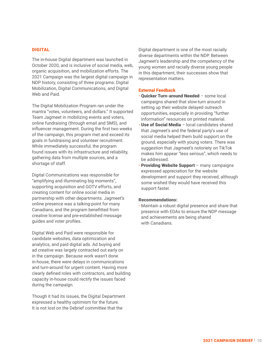# DIGITAL

The in-house Digital department was launched in October 2020, and is inclusive of social media, web, organic acquisition, and mobilization efforts. The 2021 Campaign was the largest digital campaign in NDP history, consisting of three programs: Digital Mobilization, Digital Communications, and Digital Web and Paid.

The Digital Mobilization Program ran under the mantra "votes, volunteers, and dollars." It supported Team Jagmeet in mobilizing events and voters, online fundraising (through email and SMS), and influencer management. During the first two weeks of the campaign, this program met and exceed its goals in fundraising and volunteer recruitment. While immediately successful, the program found issues with its infrastructure and reliability, gathering data from multiple sources, and a shortage of staff.

Digital Communications was responsible for "amplifying and illuminating big moments", supporting acquisition and GOTV efforts, and creating content for online social media in partnership with other departments. Jagmeet's online presence was a talking-point for many Canadians, and the program benefitted from creative license and pre-established message guides and voter profiles.

Digital Web and Paid were responsible for candidate websites, data optimization and analytics, and paid digital ads. Ad buying and ad creative was largely contracted out early on in the campaign. Because work wasn't done in-house, there were delays in communications and turn-around for urgent content. Having more clearly defined roles with contractors, and building capacity in-house could rectify the issues faced during the campaign.

Though it had its issues, the Digital Department expressed a healthy optimism for the future. It is not lost on the Debrief committee that the

Digital department is one of the most racially diverse departments within the NDP. Between Jagmeet's leadership and the competency of the young women and racially diverse young people in this department, their successes show that representation matters.

#### External Feedback

- Quicker Turn-around Needed some local campaigns shared that slow-turn around in setting up their website delayed outreach opportunities, especially in providing "further information" resources on printed material.
- Use of Social Media local candidates shared that Jagmeet's and the federal party's use of social media helped them build support on the ground, especially with young voters. There was suggestion that Jagmeet's notoriety on TikTok makes him appear "less serious", which needs to be addressed.
- **Providing Website Support many campaigns** expressed appreciation for the website development and support they received, although some wished they would have received this support faster.

#### Recommendations:

• Maintain a robust digital presence and share that presence with EDAs to ensure the NDP message and achievements are being shared with Canadians.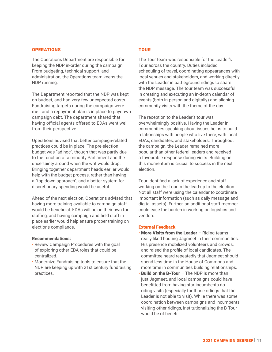#### **OPERATIONS**

The Operations Department are responsible for keeping the NDP in-order during the campaign. From budgeting, technical support, and administration, the Operations team keeps the NDP running.

The Department reported that the NDP was kept on-budget, and had very few unexpected costs. Fundraising targets during the campaign were met, and a repayment plan is in place to paydown campaign debt. The department shared that having official agents offered to EDAs went well from their perspective.

Operations advised that better campaign-related practices could be in place. The pre-election budget was "ad hoc", though that was partly due to the function of a minority Parliament and the uncertainty around when the writ would drop. Bringing together department heads earlier would help with the budget process, rather than having a "top down approach", and a better system for discretionary spending would be useful.

Ahead of the next election, Operations advised that having more training available to campaign staff would be beneficial. EDAs will be on their own for staffing, and having campaign and field staff in place earlier would help ensure proper training on elections compliance.

#### Recommendations:

- Review Campaign Procedures with the goal of exploring other EDA roles that could be centralized.
- Modernize Fundraising tools to ensure that the NDP are keeping up with 21st century fundraising practices.

# **TOUR**

The Tour team was responsible for the Leader's Tour across the country. Duties included scheduling of travel, coordinating appearances with local venues and stakeholders, and working directly with the Leader in battleground ridings to share the NDP message. The tour team was successful in creating and executing an in-depth calendar of events (both in-person and digitally) and aligning community visits with the theme of the day.

The reception to the Leader's tour was overwhelmingly positive. Having the Leader in communities speaking about issues helps to build relationships with people who live there, with local EDAs, candidates, and stakeholders. Throughout the campaign, the Leader remained more popular than other federal leaders and received a favourable response during visits. Building on this momentum is crucial to success in the next election.

Tour identified a lack of experience and staff working on the Tour in the lead-up to the election. Not all staff were using the calendar to coordinate important information (such as daily message and digital assets). Further, an additional staff member could ease the burden in working on logistics and vendors.

#### External Feedback

- More Visits from the Leader Riding teams really liked hosting Jagmeet in their communities. His presence mobilized volunteers and crowds, and raised the profile of local candidates. The committee heard repeatedly that Jagmeet should spend less time in the House of Commons and more time in communities building relationships.
- **Build on the B-Tour –** The NDP is more than just Jagmeet, and local campaigns could have benefitted from having star-incumbents do riding visits (especially for those ridings that the Leader is not able to visit). While there was some coordination between campaigns and incumbents visiting other ridings, institutionalizing the B-Tour would be of benefit.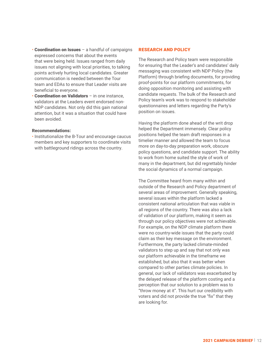- Coordination on Issues a handful of campaigns expressed concerns that about the events that were being held. Issues ranged from daily issues not aligning with local priorities, to talking points actively hurting local candidates. Greater communication is needed between the Tour team and EDAs to ensure that Leader visits are beneficial to everyone.
- Coordination on Validators in one instance, validators at the Leaders event endorsed non-NDP candidates. Not only did this gain national attention, but it was a situation that could have been avoided.

# Recommendations:

• Institutionalize the B-Tour and encourage caucus members and key supporters to coordinate visits with battleground ridings across the country.

#### RESEARCH AND POLICY

The Research and Policy team were responsible for ensuring that the Leader's and candidates' daily messaging was consistent with NDP Policy (the Platform) through briefing documents, for providing proof-points for our platform commitments, for doing opposition monitoring and assisting with candidate requests. The bulk of the Research and Policy team's work was to respond to stakeholder questionnaires and letters regarding the Party's position on issues.

Having the platform done ahead of the writ drop helped the Department immensely. Clear policy positions helped the team draft responses in a timelier manner and allowed the team to focus more on day-to-day preparation work, obscure policy questions, and candidate support. The ability to work from home suited the style of work of many in the department, but did regrettably hinder the social dynamics of a normal campaign.

The Committee heard from many within and outside of the Research and Policy department of several areas of improvement. Generally speaking, several issues within the platform lacked a consistent national articulation that was viable in all regions of the country. There was also a lack of validation of our platform, making it seem as through our policy objectives were not achievable. For example, on the NDP climate platform there were no country-wide issues that the party could claim as their key message on the environment. Furthermore, the party lacked climate-minded validators to step up and say that not only was our platform achievable in the timeframe we established, but also that it was better when compared to other parties climate policies. In general, our lack of validators was exacerbated by the delayed release of the platform costing and a perception that our solution to a problem was to "throw money at it". This hurt our credibility with voters and did not provide the true "fix" that they are looking for.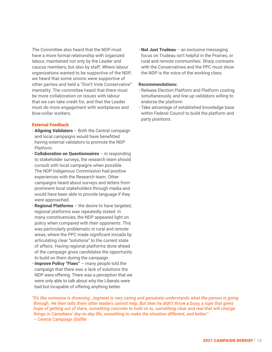The Committee also heard that the NDP must have a more formal relationship with organized labour, maintained not only by the Leader and caucus members, but also by staff. Where labour organizations wanted to be supportive of the NDP, we heard that some unions were supportive of other parties and held a "Don't Vote Conservative" mentality. The committee heard that there must be more collaboration on issues with labour that we can take credit for, and that the Leader must do more engagement with workplaces and blue-collar workers.

## External Feedback

- Aligning Validators Both the Central campaign and local campaigns would have benefitted having external validators to promote the NDP Platform.
- Collaboration on Questionnaires in responding to stakeholder surveys, the research team should consult with local campaigns when possible. The NDP Indigenous Commission had positive experiences with the Research team. Other campaigns heard about surveys and letters from prominent local stakeholders through media and would have been able to provide language if they were approached.
- **Regional Platforms**  $-$  the desire to have targeted, regional platforms was repeatedly stated. In many constituencies, the NDP appeared light on policy when compared with their opponents. This was particularly problematic in rural and remote areas, where the PPC made significant inroads by articulating clear "solutions" to the current state of affairs. Having regional platforms done ahead of the campaign gives candidates the opportunity to build on them during the campaign.
- Improve Policy "Fixes" many people told the campaign that there was a lack of solutions the NDP were offering. There was a perception that we were only able to talk about why the Liberals were bad but incapable of offering anything better.

• Not Just Trudeau – an exclusive messaging focus on Trudeau isn't helpful in the Prairies, or rural and remote communities. Sharp contrasts with the Conservatives and the PPC must show the NDP is the voice of the working class.

#### Recommendations:

- Release Election Platform and Platform costing simultaneously, and line up validators willing to endorse the platform
- Take advantage of established knowledge base within Federal Council to build the platform and party positions.

*"It's like someone is drowning: Jagmeet is very caring and genuinely understands what the person is going through. He then tells them other leaders cannot help. But then he didn't throw a buoy, a rope that gives hope of getting out of there, something concrete to hold on to, something clear and real that will change things in Canadians' day-to-day life, something to make the situation different, and better." – Central Campaign Staffer*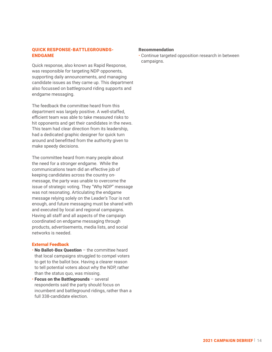# QUICK RESPONSE-BATTLEGROUNDS-ENDGAME

Quick response, also known as Rapid Response, was responsible for targeting NDP opponents, supporting daily announcements, and managing candidate issues as they came up. This department also focussed on battleground riding supports and endgame messaging.

The feedback the committee heard from this department was largely positive. A well-staffed, efficient team was able to take measured risks to hit opponents and get their candidates in the news. This team had clear direction from its leadership, had a dedicated graphic designer for quick turn around and benefitted from the authority given to make speedy decisions.

The committee heard from many people about the need for a stronger endgame. While the communications team did an effective job of keeping candidates across the country onmessage, the party was unable to overcome the issue of strategic voting. They "Why NDP" message was not resonating. Articulating the endgame message relying solely on the Leader's Tour is not enough, and future messaging must be shared with and executed by local and regional campaigns. Having all staff and all aspects of the campaign coordinated on endgame messaging through products, advertisements, media lists, and social networks is needed.

# External Feedback

- No Ballot-Box Question the committee heard that local campaigns struggled to compel voters to get to the ballot box. Having a clearer reason to tell potential voters about why the NDP, rather than the status quo, was missing.
- Focus on the Battlegrounds several respondents said the party should focus on incumbent and battleground ridings, rather than a full 338-candidate election.

# Recommendation

• Continue targeted opposition research in between campaigns.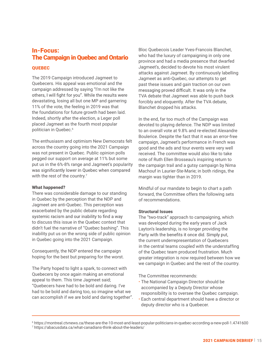# In-Focus: The Campaign in Quebec and Ontario

# QUEBEC

The 2019 Campaign introduced Jagmeet to Quebecers. His appeal was emotional and the campaign addressed by saying "I'm not like the others, I will fight for you". While the results were devastating, losing all but one MP and garnering 11% of the vote, the feeling in 2019 was that the foundations for future growth had been laid. Indeed, shortly after the election, a Leger poll placed Jagmeet as the fourth most popular politician in Quebec.<sup>6</sup>

The enthusiasm and optimism New Democrats felt across the country going into the 2021 Campaign was not present in Quebec. Public opinion polls pegged our support on average at 11% but some put us in the 6%-8% range and Jagmeet's popularity was significantly lower in Quebec when compared with the rest of the country.<sup>7</sup>

# What happened?

There was considerable damage to our standing in Quebec by the perception that the NDP and Jagmeet are anti-Quebec. This perception was exacerbated by the public debate regarding systemic racism and our inability to find a way to discuss this issue in the Quebec context that didn't fuel the narrative of "Quebec bashing". This inability put us on the wrong side of public opinion in Quebec going into the 2021 Campaign.

Consequently, the NDP entered the campaign hoping for the best but preparing for the worst.

The Party hoped to light a spark, to connect with Quebecers by once again making an emotional appeal to them. This time Jagmeet said; "Quebecers have had to be bold and daring. I've had to be bold and daring too, so imagine what we can accomplish if we are bold and daring together". Bloc Quebecois Leader Yves-Francois Blanchet, who had the luxury of campaigning in only one province and had a media presence that dwarfed Jagmeet's, decided to devote his most virulent attacks against Jagmeet. By continuously labelling Jagmeet as anti-Quebec, our attempts to get past these issues and gain traction on our own messaging proved difficult. It was only in the TVA debate that Jagmeet was able to push back forcibly and eloquently. After the TVA debate, Blanchet dropped his attacks.

In the end, far too much of the Campaign was devoted to playing defence. The NDP was limited to an overall vote at 9.8% and re-elected Alexandre Boulerice. Despite the fact that it was an error-free campaign, Jagmeet's performance in French was good and the ads and tour events were very well received. The committee would also like to take note of Ruth Ellen Brosseau's inspiring return to the campaign trail and a gutsy campaign by Nima Machouf in Laurier-Ste-Marie; in both ridings, the margin was tighter than in 2019.

Mindful of our mandate to begin to chart a path forward, the Committee offers the following sets of recommendations.

# Structural Issues

The "two-track" approach to campaigning, which was developed during the early years of Jack Layton's leadership, is no longer providing the Party with the benefits it once did. Simply put, the current underrepresentation of Quebecers in the central teams coupled with the understaffing of the Quebec team produced frustration. Much greater integration is now required between how we we campaign in Quebec and the rest of the country.

The Committee recommends:

- The National Campaign Director should be accompanied by a Deputy Director whose responsibility is to oversee the Quebec campaign.
- Each central department should have a director or deputy director who is a Quebecer.

<sup>6</sup> https://montreal.ctvnews.ca/these-are-the-10-most-and-least-popular-politicians-in-quebec-according-a-new-poll-1.4741600 7 https://abacusdata.ca/what-canadians-think-about-the-leaders/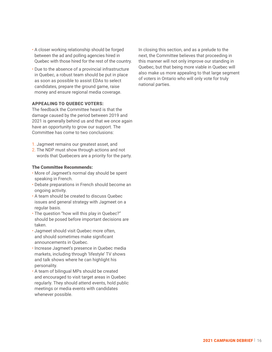- A closer working relationship should be forged between the ad and polling agencies hired in Quebec with those hired for the rest of the country.
- Due to the absence of a provincial infrastructure in Quebec, a robust team should be put in place as soon as possible to assist EDAs to select candidates, prepare the ground game, raise money and ensure regional media coverage.

# APPEALING TO QUEBEC VOTERS:

The feedback the Committee heard is that the damage caused by the period between 2019 and 2021 is generally behind us and that we once again have an opportunity to grow our support. The Committee has come to two conclusions:

- 1. Jagmeet remains our greatest asset, and
- 2. The NDP must show through actions and not words that Quebecers are a priority for the party.

#### The Committee Recommends:

- More of Jagmeet's normal day should be spent speaking in French.
- Debate preparations in French should become an ongoing activity.
- A team should be created to discuss Quebec issues and general strategy with Jagmeet on a regular basis.
- The question "how will this play in Quebec?" should be posed before important decisions are taken.
- Jagmeet should visit Quebec more often, and should sometimes make significant announcements in Quebec.
- Increase Jagmeet's presence in Quebec media markets, including through 'lifestyle' TV shows and talk shows where he can highlight his personality.
- A team of bilingual MPs should be created and encouraged to visit target areas in Quebec regularly. They should attend events, hold public meetings or media events with candidates whenever possible.

In closing this section, and as a prelude to the next, the Committee believes that proceeding in this manner will not only improve our standing in Quebec, but that being more viable in Quebec will also make us more appealing to that large segment of voters in Ontario who will only vote for truly national parties.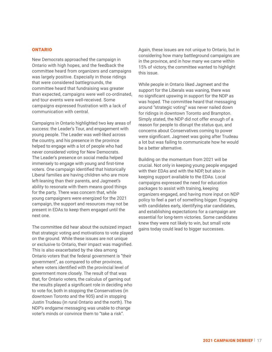#### ONTARIO

New Democrats approached the campaign in Ontario with high hopes, and the feedback the committee heard from organizers and campaigns was largely positive. Especially in those ridings that were considered battlegrounds, the committee heard that fundraising was greater than expected, campaigns were well co-ordinated, and tour events were well-received. Some campaigns expressed frustration with a lack of communication with central.

Campaigns in Ontario highlighted two key areas of success: the Leader's Tour, and engagement with young people. The Leader was well-liked across the country, and his presence in the province helped to engage with a lot of people who had never considered voting for New Democrats. The Leader's presence on social media helped immensely to engage with young and first-time voters. One campaign identified that historically Liberal families are having children who are more left-leaning than their parents, and Jagmeet's ability to resonate with them means good things for the party. There was concern that, while young campaigners were energized for the 2021 campaign, the support and resources may not be present in EDAs to keep them engaged until the next one.

The committee did hear about the outsized impact that strategic voting and motivations to vote played on the ground. While these issues are not unique or exclusive to Ontario, their impact was magnified. This is also exacerbated by the idea among Ontario voters that the federal government is "their government", as compared to other provinces, where voters identified with the provincial level of government more closely. The result of that was that, for Ontario voters, the calculus of gaming out the results played a significant role in deciding who to vote for, both in stopping the Conservatives (in downtown Toronto and the 905) and in stopping Justin Trudeau (in rural Ontario and the north). The NDP's endgame messaging was unable to change voter's minds or convince them to "take a risk".

Again, these issues are not unique to Ontario, but in considering how many battleground campaigns are in the province, and in how many we came within 15% of victory, the committee wanted to highlight this issue.

While people in Ontario liked Jagmeet and the support for the Liberals was waning, there was no significant upswing in support for the NDP as was hoped. The committee heard that messaging around "strategic voting" was never nailed down for ridings in downtown Toronto and Brampton. Simply stated, the NDP did not offer enough of a reason for people to disrupt the status quo, and concerns about Conservatives coming to power were significant. Jagmeet was going after Trudeau a lot but was failing to communicate how he would be a better alternative.

Building on the momentum from 2021 will be crucial. Not only in keeping young people engaged with their EDAs and with the NDP, but also in keeping support available to the EDAs. Local campaigns expressed the need for education packages to assist with training, keeping organizers engaged, and having more input on NDP policy to feel a part of something bigger. Engaging with candidates early, identifying star candidates, and establishing expectations for a campaign are essential for long-term victories. Some candidates knew they were not likely to win, but small vote gains today could lead to bigger successes.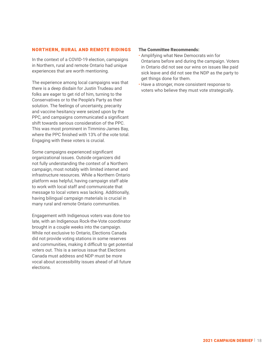# NORTHERN, RURAL AND REMOTE RIDINGS

In the context of a COVID-19 election, campaigns in Northern, rural and remote Ontario had unique experiences that are worth mentioning.

The experience among local campaigns was that there is a deep disdain for Justin Trudeau and folks are eager to get rid of him, turning to the Conservatives or to the People's Party as their solution. The feelings of uncertainty, precarity and vaccine hesitancy were seized upon by the PPC, and campaigns communicated a significant shift towards serious consideration of the PPC. This was most prominent in Timmins-James Bay, where the PPC finished with 13% of the vote total. Engaging with these voters is crucial.

Some campaigns experienced significant organizational issues. Outside organizers did not fully understanding the context of a Northern campaign, most notably with limited internet and infrastructure resources. While a Northern Ontario platform was helpful, having campaign staff able to work with local staff and communicate that message to local voters was lacking. Additionally, having bilingual campaign materials is crucial in many rural and remote Ontario communities.

Engagement with Indigenous voters was done too late, with an Indigenous Rock-the-Vote coordinator brought in a couple weeks into the campaign. While not exclusive to Ontario, Elections Canada did not provide voting stations in some reserves and communities, making it difficult to get potential voters out. This is a serious issue that Elections Canada must address and NDP must be more vocal about accessibility issues ahead of all future elections.

# The Committee Recommends:

- Amplifying what New Democrats win for Ontarians before and during the campaign. Voters in Ontario did not see our wins on issues like paid sick leave and did not see the NDP as the party to get things done for them.
- Have a stronger, more consistent response to voters who believe they must vote strategically.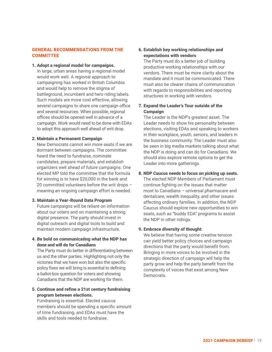# GENERAL RECOMMENDATIONS FROM THE **COMMITTEE**

## 1. Adopt a regional model for campaigns.

In large, urban areas having a regional model would work well. A regional approach to campaigning has worked in British Columbia and would help to remove the stigma of battleground, incumbent and hero riding labels. Such models are more cost effective, allowing several campaigns to share one campaign office and several resources. When possible, regional offices should be opened well in advance of a campaign. Work would need to be done with EDAs to adopt this approach well ahead of writ drop.

#### 2. Maintain a Permanent Campaign

New Democrats cannot win more seats if we are dormant between campaigns. The committee heard the need to fundraise, nominate candidates, prepare materials, and establish organizers well ahead of future campaigns. One elected MP told the committee that the formula for winning is to have \$20,000 in the bank and 20 committed volunteers before the writ drops – meaning an ongoing campaign effort is needed.

## 3. Maintain a Year-Round Data Program

Future campaigns will be reliant on information about our voters and on maintaining a strong digital presence. The party should invest in digital outreach and digital tools to build and maintain modern campaign infrastructure.

# 4. Be bold on communicating what the NDP has done and will do for Canadians

The Party must do better in differentiating between us and the other parties. Highlighting not only the victories that we have won but also the specific policy fixes we will bring is essential to defining a ballot-box question for voters and showing Canadians that the NDP are working for them.

# 5. Continue and refine a 21st century fundraising program between elections.

Fundraising is essential. Elected caucus members should be spending a specific amount of time fundraising, and EDAs must have the skills and tools needed to fundraise.

# 6. Establish key working relationships and expectations with vendors

The Party must do a better job of building productive working relationships with our vendors. There must be more clarity about the mandate and it must be communicated. There must also be clearer chains of communication with regards to responsibilities and reporting structures in working with vendors.

# 7. Expand the Leader's Tour outside of the **Campaign**

The Leader is the NDP's greatest asset. The Leader needs to show his personality between elections, visiting EDAs and speaking to workers in their workplace, youth, seniors, and leaders in the business community. The Leader must also be seen in big media markets talking about what the NDP is doing and can do for Canadians. We should also explore remote options to get the Leader into more gatherings.

# 8. NDP Caucus needs to focus on picking up seats.

The elected NDP Members of Parliament must continue fighting on the issues that matter most to Canadians – universal pharmacare and dentalcare, wealth inequality, and other issues affecting ordinary families. In addition, the NDP Caucus should explore new opportunities to win seats, such as "buddy EDA" programs to assist the NDP in other ridings.

# 9. Embrace diversity of thought

We believe that having some creative tension can yield better policy choices and campaign directions that the party would benefit from. Bringing in more voices to be involved in the strategic direction of campaign will help the party grow and help the party benefit from the complexity of voices that exist among New **Democrats**